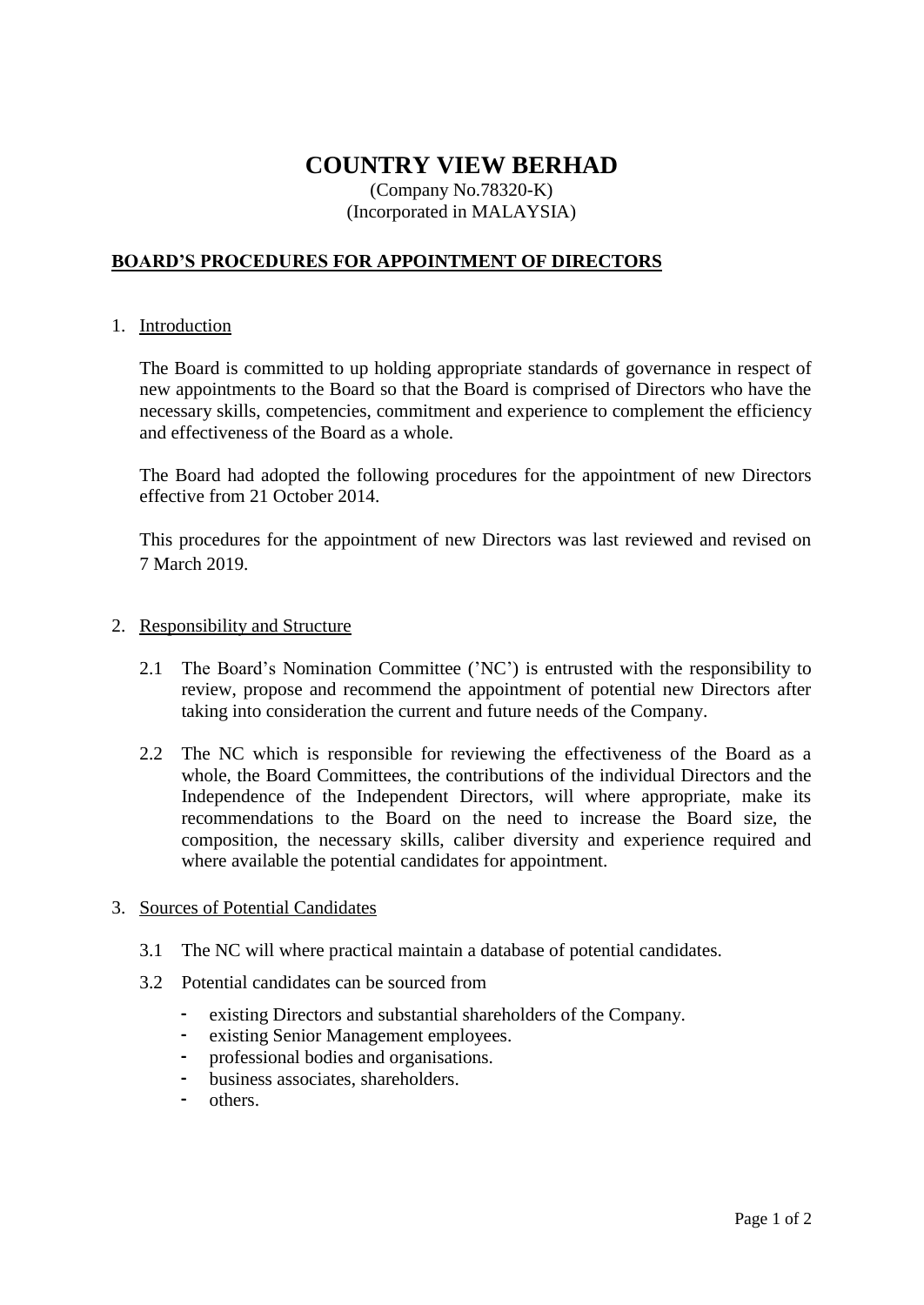# **COUNTRY VIEW BERHAD**

## (Company No.78320-K) (Incorporated in MALAYSIA)

## **BOARD'S PROCEDURES FOR APPOINTMENT OF DIRECTORS**

### 1. Introduction

The Board is committed to up holding appropriate standards of governance in respect of new appointments to the Board so that the Board is comprised of Directors who have the necessary skills, competencies, commitment and experience to complement the efficiency and effectiveness of the Board as a whole.

The Board had adopted the following procedures for the appointment of new Directors effective from 21 October 2014.

This procedures for the appointment of new Directors was last reviewed and revised on 7 March 2019.

#### 2. Responsibility and Structure

- 2.1 The Board's Nomination Committee ('NC') is entrusted with the responsibility to review, propose and recommend the appointment of potential new Directors after taking into consideration the current and future needs of the Company.
- 2.2 The NC which is responsible for reviewing the effectiveness of the Board as a whole, the Board Committees, the contributions of the individual Directors and the Independence of the Independent Directors, will where appropriate, make its recommendations to the Board on the need to increase the Board size, the composition, the necessary skills, caliber diversity and experience required and where available the potential candidates for appointment.

## 3. Sources of Potential Candidates

- 3.1 The NC will where practical maintain a database of potential candidates.
- 3.2 Potential candidates can be sourced from
	- existing Directors and substantial shareholders of the Company.
	- existing Senior Management employees.
	- professional bodies and organisations.
	- business associates, shareholders.
	- others.